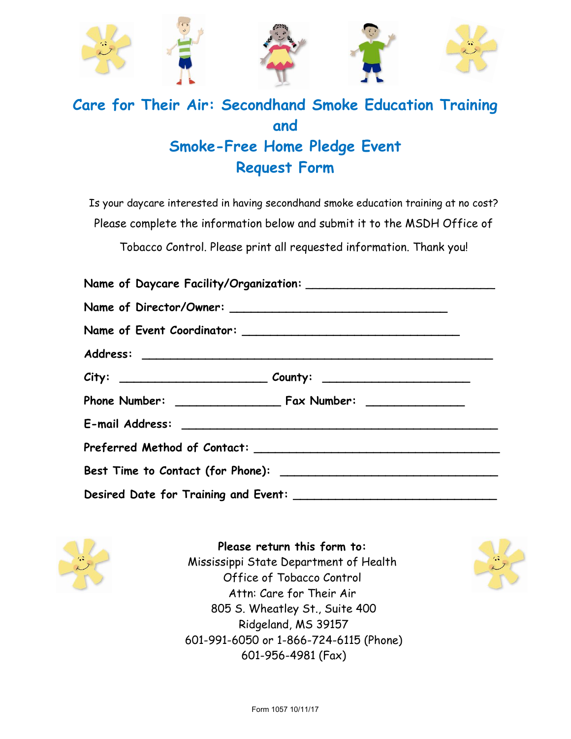

# **Care for Their Air: Secondhand Smoke Education Training and Smoke-Free Home Pledge Event Request Form**

Is your daycare interested in having secondhand smoke education training at no cost? Please complete the information below and submit it to the MSDH Office of Tobacco Control. Please print all requested information. Thank you!



**Please return this form to:**  Mississippi State Department of Health Office of Tobacco Control Attn: Care for Their Air 805 S. Wheatley St., Suite 400 Ridgeland, MS 39157 601-991-6050 or 1-866-724-6115 (Phone) 601-956-4981 (Fax)